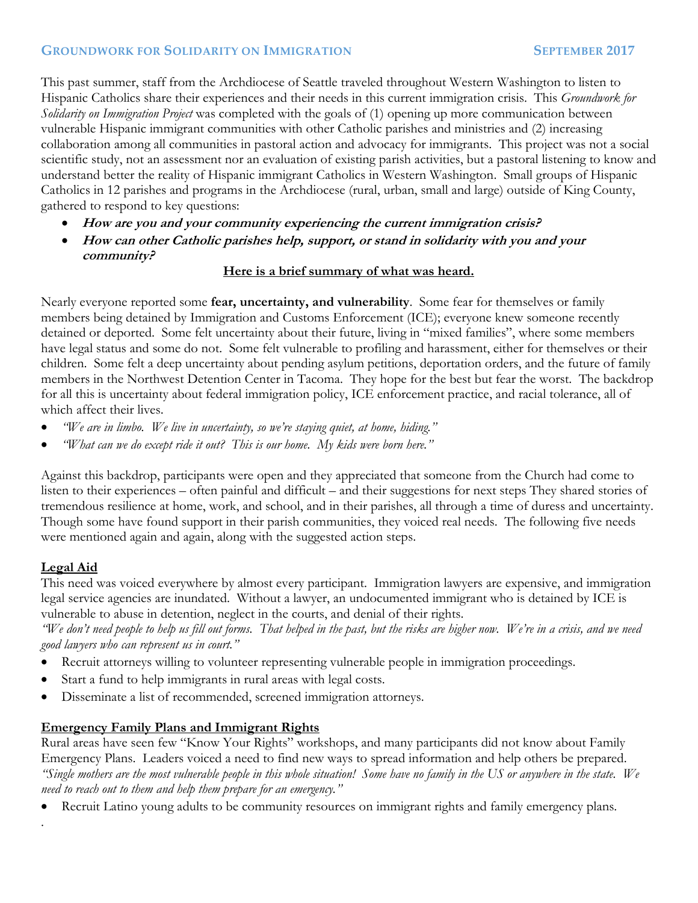### **GROUNDWORK FOR SOLIDARITY ON IMMIGRATION SEPTEMBER 2017**

This past summer, staff from the Archdiocese of Seattle traveled throughout Western Washington to listen to Hispanic Catholics share their experiences and their needs in this current immigration crisis. This *Groundwork for Solidarity on Immigration Project* was completed with the goals of (1) opening up more communication between vulnerable Hispanic immigrant communities with other Catholic parishes and ministries and (2) increasing collaboration among all communities in pastoral action and advocacy for immigrants. This project was not a social scientific study, not an assessment nor an evaluation of existing parish activities, but a pastoral listening to know and understand better the reality of Hispanic immigrant Catholics in Western Washington. Small groups of Hispanic Catholics in 12 parishes and programs in the Archdiocese (rural, urban, small and large) outside of King County, gathered to respond to key questions:

- **How are you and your community experiencing the current immigration crisis?**
- **How can other Catholic parishes help, support, or stand in solidarity with you and your community?**

#### **Here is a brief summary of what was heard.**

Nearly everyone reported some **fear, uncertainty, and vulnerability**. Some fear for themselves or family members being detained by Immigration and Customs Enforcement (ICE); everyone knew someone recently detained or deported. Some felt uncertainty about their future, living in "mixed families", where some members have legal status and some do not. Some felt vulnerable to profiling and harassment, either for themselves or their children. Some felt a deep uncertainty about pending asylum petitions, deportation orders, and the future of family members in the Northwest Detention Center in Tacoma. They hope for the best but fear the worst. The backdrop for all this is uncertainty about federal immigration policy, ICE enforcement practice, and racial tolerance, all of which affect their lives.

- *"We are in limbo. We live in uncertainty, so we're staying quiet, at home, hiding."*
- *"What can we do except ride it out? This is our home. My kids were born here."*

Against this backdrop, participants were open and they appreciated that someone from the Church had come to listen to their experiences – often painful and difficult – and their suggestions for next steps They shared stories of tremendous resilience at home, work, and school, and in their parishes, all through a time of duress and uncertainty. Though some have found support in their parish communities, they voiced real needs. The following five needs were mentioned again and again, along with the suggested action steps.

# **Legal Aid**

.

This need was voiced everywhere by almost every participant. Immigration lawyers are expensive, and immigration legal service agencies are inundated. Without a lawyer, an undocumented immigrant who is detained by ICE is vulnerable to abuse in detention, neglect in the courts, and denial of their rights.

*"We don't need people to help us fill out forms. That helped in the past, but the risks are higher now. We're in a crisis, and we need good lawyers who can represent us in court."* 

- Recruit attorneys willing to volunteer representing vulnerable people in immigration proceedings.
- Start a fund to help immigrants in rural areas with legal costs.
- Disseminate a list of recommended, screened immigration attorneys.

# **Emergency Family Plans and Immigrant Rights**

Rural areas have seen few "Know Your Rights" workshops, and many participants did not know about Family Emergency Plans. Leaders voiced a need to find new ways to spread information and help others be prepared. *"Single mothers are the most vulnerable people in this whole situation! Some have no family in the US or anywhere in the state. We need to reach out to them and help them prepare for an emergency."* 

Recruit Latino young adults to be community resources on immigrant rights and family emergency plans.